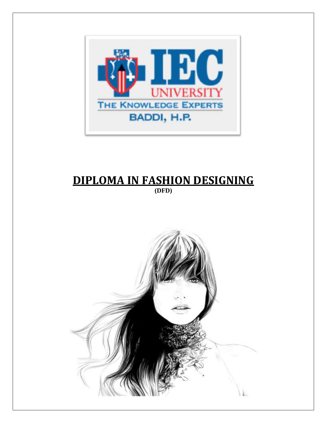

# **DIPLOMA IN FASHION DESIGNING (DFD)**

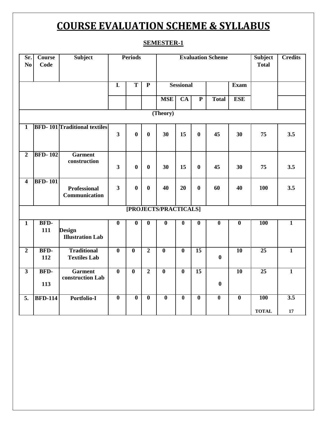# **COURSE EVALUATION SCHEME & SYLLABUS**

# **SEMESTER-1**

| Sr.<br>N <sub>0</sub>   | <b>Course</b><br>Code | Subject                                   |                         | <b>Periods</b>          |                         |                         |                         | <b>Evaluation Scheme</b> | <b>Subject</b><br><b>Total</b> | <b>Credits</b>          |                 |                  |
|-------------------------|-----------------------|-------------------------------------------|-------------------------|-------------------------|-------------------------|-------------------------|-------------------------|--------------------------|--------------------------------|-------------------------|-----------------|------------------|
|                         |                       |                                           | $\overline{\mathbf{L}}$ | $\overline{\text{T}}$   | $\overline{\mathbf{P}}$ | <b>Sessional</b>        |                         |                          | <b>Exam</b>                    |                         |                 |                  |
|                         |                       |                                           |                         |                         |                         | <b>MSE</b>              | <b>CA</b>               | ${\bf P}$                | <b>Total</b>                   | <b>ESE</b>              |                 |                  |
| (Theory)                |                       |                                           |                         |                         |                         |                         |                         |                          |                                |                         |                 |                  |
| $\mathbf{1}$            |                       | <b>BFD-101 Traditional textiles</b>       |                         |                         |                         |                         |                         |                          |                                |                         |                 |                  |
|                         |                       |                                           | $\overline{\mathbf{3}}$ | $\bf{0}$                | $\bf{0}$                | 30                      | 15                      | $\bf{0}$                 | 45                             | 30                      | 75              | 3.5              |
| $\overline{2}$          | <b>BFD-102</b>        | <b>Garment</b><br>construction            | $\overline{\mathbf{3}}$ | $\bf{0}$                | $\bf{0}$                | 30                      | 15                      | $\bf{0}$                 | 45                             | 30                      | 75              | 3.5              |
| $\overline{\mathbf{4}}$ | <b>BFD-101</b>        |                                           |                         |                         |                         |                         |                         |                          |                                |                         |                 |                  |
|                         |                       | <b>Professional</b><br>Communication      | $\overline{\mathbf{3}}$ | $\boldsymbol{0}$        | $\bf{0}$                | 40                      | 20                      | $\bf{0}$                 | 60                             | 40                      | 100             | 3.5              |
| [PROJECTS/PRACTICALS]   |                       |                                           |                         |                         |                         |                         |                         |                          |                                |                         |                 |                  |
| $\mathbf{1}$            | BFD-<br>111           | <b>Design</b><br><b>Illustration Lab</b>  | $\overline{\mathbf{0}}$ | $\overline{\mathbf{0}}$ | $\overline{\mathbf{0}}$ | $\overline{\mathbf{0}}$ | $\overline{\mathbf{0}}$ | $\overline{\mathbf{0}}$  | $\overline{\mathbf{0}}$        | $\overline{\mathbf{0}}$ | <b>100</b>      | $\overline{1}$   |
| $\boldsymbol{2}$        | BFD-<br>112           | <b>Traditional</b><br><b>Textiles Lab</b> | $\overline{\mathbf{0}}$ | $\bf{0}$                | $\overline{2}$          | $\overline{\mathbf{0}}$ | $\boldsymbol{0}$        | $\overline{15}$          | $\boldsymbol{0}$               | $\overline{10}$         | $\overline{25}$ | $\mathbf{1}$     |
| $\overline{\mathbf{3}}$ | BFD-<br>113           | <b>Garment</b><br>construction Lab        | $\overline{\mathbf{0}}$ | $\overline{\mathbf{0}}$ | $\overline{2}$          | $\overline{\mathbf{0}}$ | $\overline{\mathbf{0}}$ | $\overline{15}$          | $\boldsymbol{0}$               | <b>10</b>               | $\overline{25}$ | $\overline{1}$   |
| 5.                      | <b>BFD-114</b>        | Portfolio-I                               | $\overline{\mathbf{0}}$ | $\overline{\mathbf{0}}$ | $\overline{\mathbf{0}}$ | $\overline{\mathbf{0}}$ | $\overline{\mathbf{0}}$ | $\overline{\mathbf{0}}$  | $\overline{\mathbf{0}}$        | $\overline{\mathbf{0}}$ | <b>100</b>      | $\overline{3.5}$ |
|                         |                       |                                           |                         |                         |                         |                         |                         |                          |                                |                         | <b>TOTAL</b>    | ${\bf 17}$       |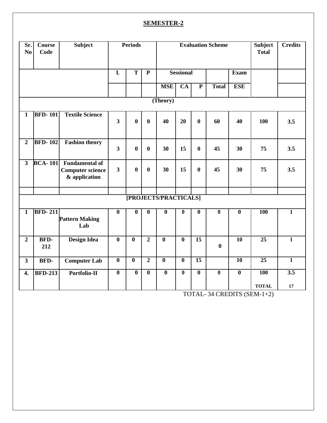# **SEMESTER-2**

| Sr.<br>No        | <b>Course</b><br>Code | <b>Subject</b>                                                    |                         | <b>Periods</b>          |                         |                         |                         | <b>Evaluation Scheme</b> | <b>Subject</b><br><b>Total</b> | <b>Credits</b>          |                 |                  |
|------------------|-----------------------|-------------------------------------------------------------------|-------------------------|-------------------------|-------------------------|-------------------------|-------------------------|--------------------------|--------------------------------|-------------------------|-----------------|------------------|
|                  |                       |                                                                   | $\overline{\mathbf{L}}$ | $\overline{\mathbf{T}}$ | $\overline{\mathbf{P}}$ | <b>Sessional</b>        |                         |                          |                                | <b>Exam</b>             |                 |                  |
|                  |                       |                                                                   |                         |                         |                         | <b>MSE</b>              | $\overline{CA}$         | $\overline{\mathbf{P}}$  | <b>Total</b>                   | <b>ESE</b>              |                 |                  |
| (Theory)         |                       |                                                                   |                         |                         |                         |                         |                         |                          |                                |                         |                 |                  |
| $\mathbf{1}$     | <b>BFD-101</b>        | <b>Textile Science</b>                                            | $\overline{\mathbf{3}}$ | $\bf{0}$                | $\bf{0}$                | 40                      | 20                      | $\bf{0}$                 | 60                             | 40                      | 100             | 3.5              |
| $\boldsymbol{2}$ | <b>BFD-102</b>        | <b>Fashion theory</b>                                             | $\overline{\mathbf{3}}$ | $\bf{0}$                | $\bf{0}$                | 30                      | 15                      | $\bf{0}$                 | 45                             | 30                      | 75              | 3.5              |
| $\overline{3}$   | <b>BCA-101</b>        | <b>Fundamental of</b><br><b>Computer science</b><br>& application | $\overline{\mathbf{3}}$ | $\bf{0}$                | $\bf{0}$                | 30                      | 15                      | $\bf{0}$                 | 45                             | 30                      | 75              | 3.5              |
|                  |                       |                                                                   |                         |                         |                         | [PROJECTS/PRACTICALS]   |                         |                          |                                |                         |                 |                  |
|                  |                       |                                                                   |                         |                         |                         |                         |                         |                          |                                |                         |                 |                  |
| $\mathbf{1}$     | <b>BFD-211</b>        | <b>Pattern Making</b><br>Lab                                      | $\overline{\mathbf{0}}$ | $\overline{\mathbf{0}}$ | $\boldsymbol{0}$        | $\bf{0}$                | $\boldsymbol{0}$        | $\boldsymbol{0}$         | $\bf{0}$                       | $\bf{0}$                | 100             | $\mathbf{1}$     |
| $\overline{2}$   | BFD-<br>212           | <b>Design Idea</b>                                                | $\overline{\mathbf{0}}$ | $\overline{\mathbf{0}}$ | $\overline{2}$          | $\overline{\mathbf{0}}$ | $\overline{\mathbf{0}}$ | $\overline{15}$          | $\boldsymbol{0}$               | 10                      | $\overline{25}$ | $\overline{1}$   |
| $\mathbf{3}$     | <b>BFD-</b>           | <b>Computer Lab</b>                                               | $\overline{\mathbf{0}}$ | $\overline{\mathbf{0}}$ | $\overline{2}$          | $\overline{\mathbf{0}}$ | $\overline{\mathbf{0}}$ | $\overline{15}$          |                                | $\overline{10}$         | $\overline{25}$ | $\overline{1}$   |
| 4.               | <b>BFD-213</b>        | Portfolio-II                                                      | $\overline{\mathbf{0}}$ | $\overline{\mathbf{0}}$ | $\overline{\mathbf{0}}$ | $\overline{\mathbf{0}}$ | $\overline{\mathbf{0}}$ | $\overline{\mathbf{0}}$  | $\overline{\mathbf{0}}$        | $\overline{\mathbf{0}}$ | 100             | $\overline{3.5}$ |
|                  |                       |                                                                   |                         |                         |                         |                         |                         |                          |                                |                         | <b>TOTAL</b>    | 17               |

TOTAL- 34 CREDITS (SEM-1+2)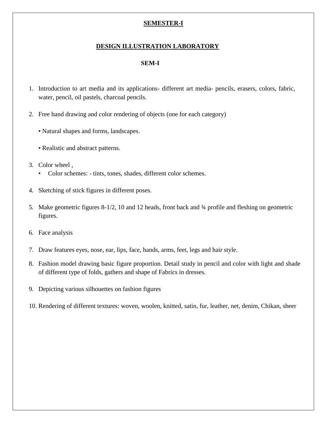# **SEMESTER-I**

#### **DESIGN ILLUSTRATION LABORATORY**

#### **SEM-I**

- 1. Introduction to art media and its applications- different art media- pencils, erasers, colors, fabric, water, pencil, oil pastels, charcoal pencils.
- 2. Free hand drawing and color rendering of objects (one for each category)
	- Natural shapes and forms, landscapes.
	- Realistic and abstract patterns.
- 3. Color wheel ,
	- Color schemes: tints, tones, shades, different color schemes.
- 4. Sketching of stick figures in different poses.
- 5. Make geometric figures 8-1/2, 10 and 12 heads, front back and ¾ profile and fleshing on geometric figures.
- 6. Face analysis
- 7. Draw features eyes, nose, ear, lips, face, hands, arms, feet, legs and hair style.
- 8. Fashion model drawing basic figure proportion. Detail study in pencil and color with light and shade of different type of folds, gathers and shape of Fabrics in dresses.
- 9. Depicting various silhouettes on fashion figures
- 10. Rendering of different textures: woven, woolen, knitted, satin, fur, leather, net, denim, Chikan, sheer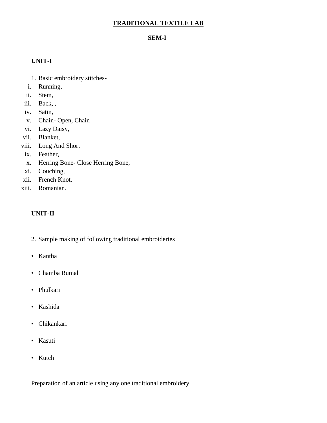# **TRADITIONAL TEXTILE LAB**

#### **SEM-I**

#### **UNIT-I**

- 1. Basic embroidery stitches-
- i. Running,
- ii. Stem,
- iii. Back, ,
- iv. Satin,
- v. Chain- Open, Chain
- vi. Lazy Daisy,
- vii. Blanket,
- viii. Long And Short
- ix. Feather,
- x. Herring Bone- Close Herring Bone,
- xi. Couching,
- xii. French Knot,
- xiii. Romanian.

# **UNIT-II**

- 2. Sample making of following traditional embroideries
- Kantha
- Chamba Rumal
- Phulkari
- Kashida
- Chikankari
- Kasuti
- Kutch

Preparation of an article using any one traditional embroidery.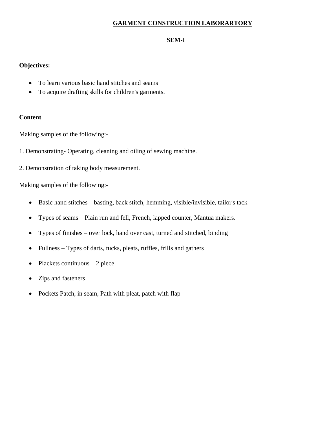# **GARMENT CONSTRUCTION LABORARTORY**

# **SEM-I**

# **Objectives:**

- To learn various basic hand stitches and seams
- To acquire drafting skills for children's garments.

#### **Content**

Making samples of the following:-

- 1. Demonstrating- Operating, cleaning and oiling of sewing machine.
- 2. Demonstration of taking body measurement.

Making samples of the following:-

- Basic hand stitches basting, back stitch, hemming, visible/invisible, tailor's tack
- Types of seams Plain run and fell, French, lapped counter, Mantua makers.
- Types of finishes over lock, hand over cast, turned and stitched, binding
- Fullness Types of darts, tucks, pleats, ruffles, frills and gathers
- Plackets continuous  $-2$  piece
- Zips and fasteners
- Pockets Patch, in seam, Path with pleat, patch with flap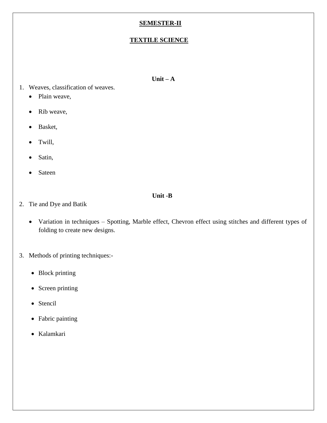# **SEMESTER-II**

# **TEXTILE SCIENCE**

#### **Unit – A**

- 1. Weaves, classification of weaves.
	- Plain weave,
	- Rib weave,
	- Basket,
	- Twill,
	- Satin,
	- **Sateen**

# **Unit -B**

- 2. Tie and Dye and Batik
	- Variation in techniques Spotting, Marble effect, Chevron effect using stitches and different types of folding to create new designs.
- 3. Methods of printing techniques:-
	- Block printing
	- Screen printing
	- Stencil
	- Fabric painting
	- Kalamkari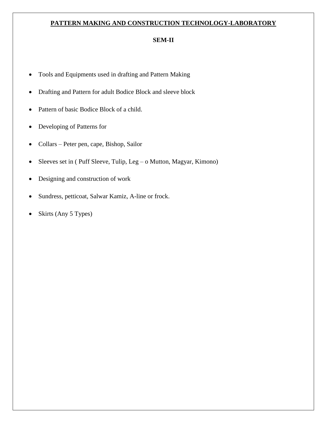# **PATTERN MAKING AND CONSTRUCTION TECHNOLOGY-LABORATORY**

### **SEM-II**

- Tools and Equipments used in drafting and Pattern Making
- Drafting and Pattern for adult Bodice Block and sleeve block
- Pattern of basic Bodice Block of a child.
- Developing of Patterns for
- Collars Peter pen, cape, Bishop, Sailor
- Sleeves set in ( Puff Sleeve, Tulip, Leg o Mutton, Magyar, Kimono)
- Designing and construction of work
- Sundress, petticoat, Salwar Kamiz, A-line or frock.
- Skirts (Any 5 Types)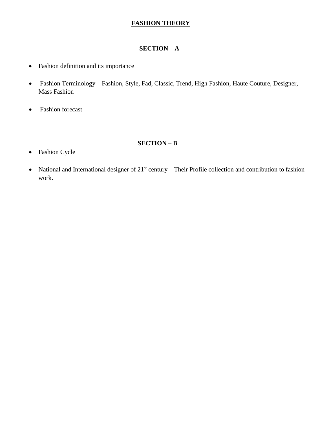# **FASHION THEORY**

### **SECTION – A**

- Fashion definition and its importance
- Fashion Terminology Fashion, Style, Fad, Classic, Trend, High Fashion, Haute Couture, Designer, Mass Fashion
- Fashion forecast

#### **SECTION – B**

# • Fashion Cycle

• National and International designer of  $21<sup>st</sup>$  century – Their Profile collection and contribution to fashion work.